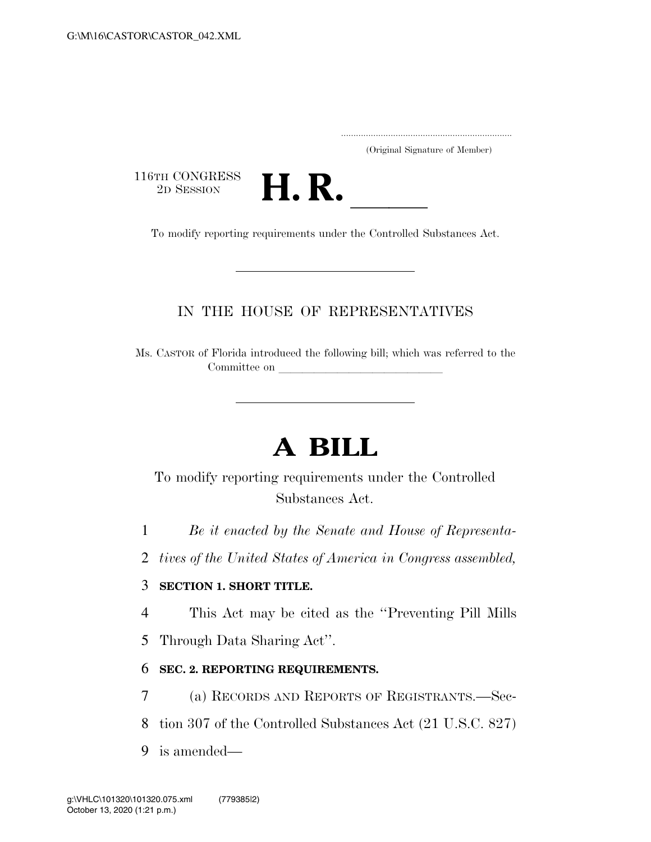.....................................................................

(Original Signature of Member)

116TH CONGRESS<br>2D SESSION



3TH CONGRESS<br>
2D SESSION<br>
To modify reporting requirements under the Controlled Substances Act.

### IN THE HOUSE OF REPRESENTATIVES

Ms. CASTOR of Florida introduced the following bill; which was referred to the Committee on

# **A BILL**

## To modify reporting requirements under the Controlled Substances Act.

- 1 *Be it enacted by the Senate and House of Representa-*
- 2 *tives of the United States of America in Congress assembled,*

#### 3 **SECTION 1. SHORT TITLE.**

- 4 This Act may be cited as the ''Preventing Pill Mills
- 5 Through Data Sharing Act''.

#### 6 **SEC. 2. REPORTING REQUIREMENTS.**

- 7 (a) RECORDS AND REPORTS OF REGISTRANTS.—Sec-
- 8 tion 307 of the Controlled Substances Act (21 U.S.C. 827)
- 9 is amended—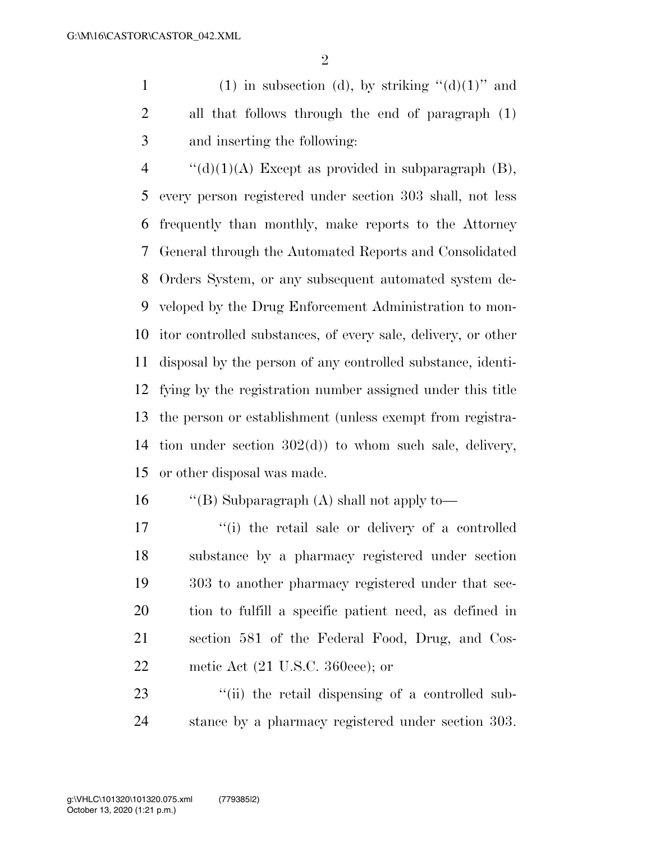1 (1) in subsection (d), by striking  $"(\mathrm{d})(1)"$  and all that follows through the end of paragraph (1) and inserting the following:

 $\frac{4}{(d)(1)(A)}$  Except as provided in subparagraph (B), every person registered under section 303 shall, not less frequently than monthly, make reports to the Attorney General through the Automated Reports and Consolidated Orders System, or any subsequent automated system de- veloped by the Drug Enforcement Administration to mon- itor controlled substances, of every sale, delivery, or other disposal by the person of any controlled substance, identi- fying by the registration number assigned under this title the person or establishment (unless exempt from registra- tion under section 302(d)) to whom such sale, delivery, or other disposal was made.

''(B) Subparagraph (A) shall not apply to—

17 ''(i) the retail sale or delivery of a controlled substance by a pharmacy registered under section 303 to another pharmacy registered under that sec- tion to fulfill a specific patient need, as defined in section 581 of the Federal Food, Drug, and Cos-22 metic Act (21 U.S.C. 360eee); or

23  $\frac{1}{2}$  (ii) the retail dispensing of a controlled sub-stance by a pharmacy registered under section 303.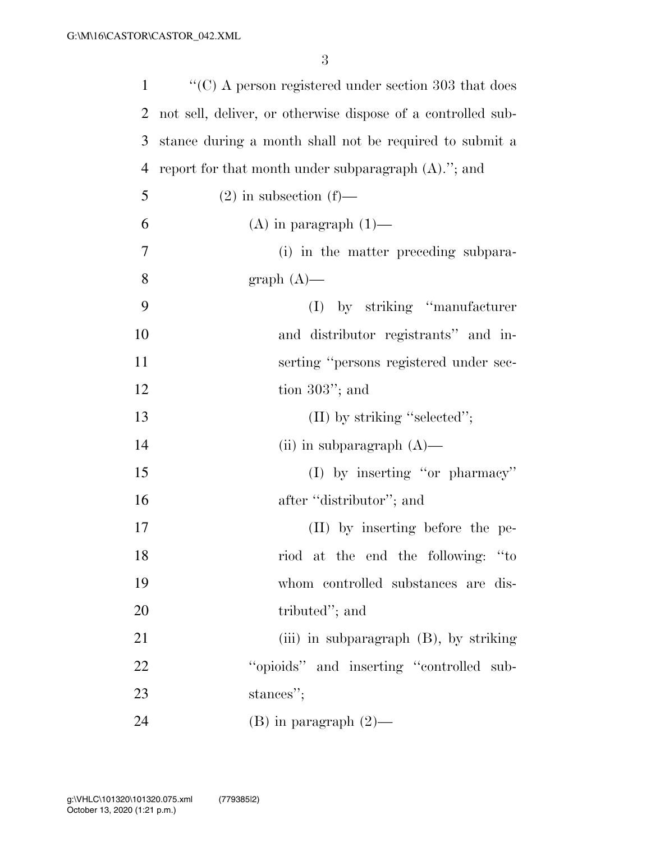| 1              | $\cdot\cdot$ (C) A person registered under section 303 that does |
|----------------|------------------------------------------------------------------|
| 2              | not sell, deliver, or otherwise dispose of a controlled sub-     |
| 3              | stance during a month shall not be required to submit a          |
| $\overline{4}$ | report for that month under subparagraph $(A)$ ."; and           |
| 5              | $(2)$ in subsection $(f)$ —                                      |
| 6              | $(A)$ in paragraph $(1)$ —                                       |
| 7              | (i) in the matter preceding subpara-                             |
| 8              | $graph(A)$ —                                                     |
| 9              | (I) by striking "manufacturer"                                   |
| 10             | and distributor registrants" and in-                             |
| 11             | serting "persons registered under sec-                           |
| 12             | tion $303$ "; and                                                |
| 13             | $(II)$ by striking "selected";                                   |
| 14             | (ii) in subparagraph $(A)$ —                                     |
| 15             | $(I)$ by inserting "or pharmacy"                                 |
| 16             | after "distributor"; and                                         |
| 17             | (II) by inserting before the pe-                                 |
| 18             | riod at the end the following: "to                               |
| 19             | whom controlled substances are dis-                              |
| 20             | tributed"; and                                                   |
| 21             | (iii) in subparagraph (B), by striking                           |
| 22             | "opioids" and inserting "controlled sub-                         |
| 23             | stances";                                                        |
| 24             | $(B)$ in paragraph $(2)$ —                                       |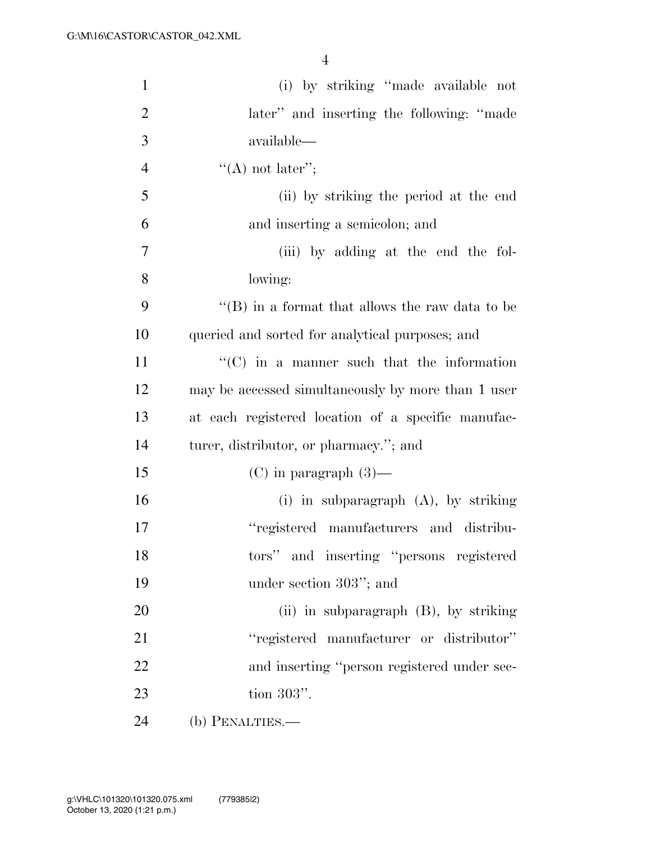| $\mathbf{1}$   | (i) by striking "made available not                     |
|----------------|---------------------------------------------------------|
| $\overline{2}$ | later" and inserting the following: "made               |
| 3              | available—                                              |
| $\overline{4}$ | $\lq\lq$ not later";                                    |
| 5              | (ii) by striking the period at the end                  |
| 6              | and inserting a semicolon; and                          |
| 7              | (iii) by adding at the end the fol-                     |
| 8              | lowing:                                                 |
| 9              | $\lq\lq$ (B) in a format that allows the raw data to be |
| 10             | queried and sorted for analytical purposes; and         |
| 11             | $\lq\lq$ (C) in a manner such that the information      |
| 12             | may be accessed simultaneously by more than 1 user      |
| 13             | at each registered location of a specific manufac-      |
| 14             | turer, distributor, or pharmacy."; and                  |
| 15             | $(C)$ in paragraph $(3)$ —                              |
| 16             | (i) in subparagraph $(A)$ , by striking                 |
| 17             | "registered manufacturers and distribu-                 |
| 18             | tors" and inserting "persons registered                 |
| 19             | under section 303"; and                                 |
| 20             | (ii) in subparagraph $(B)$ , by striking                |
| 21             | "registered manufacturer or distributor"                |
| 22             | and inserting "person registered under sec-             |
| 23             | tion $303$ ".                                           |
| 24             | (b) PENALTIES.—                                         |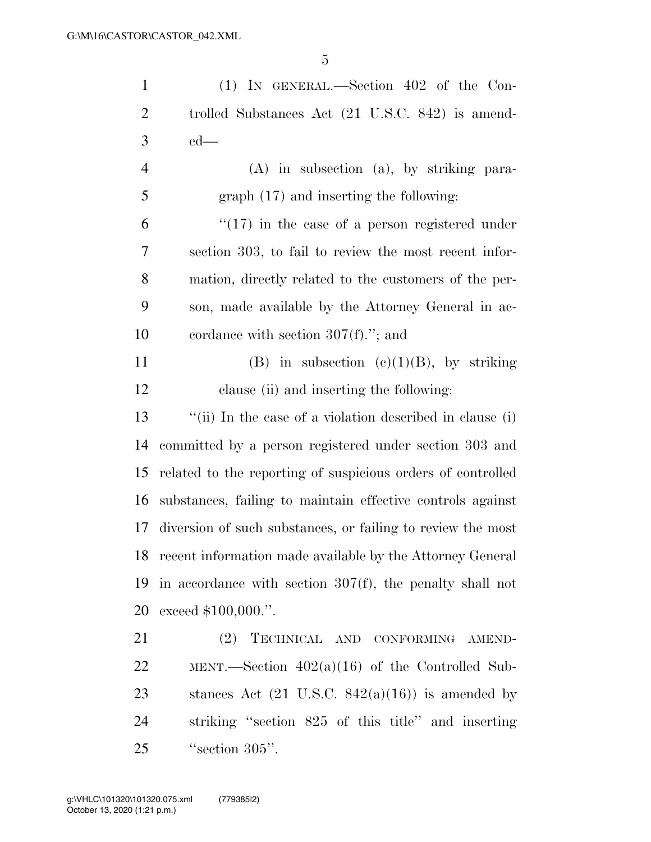| $\mathbf{1}$   | $(1)$ IN GENERAL.—Section 402 of the Con-                   |
|----------------|-------------------------------------------------------------|
| $\overline{2}$ | trolled Substances Act (21 U.S.C. 842) is amend-            |
| 3              | $ed$ —                                                      |
| $\overline{4}$ | $(A)$ in subsection $(a)$ , by striking para-               |
| 5              | $graph (17)$ and inserting the following:                   |
| 6              | $\lq(17)$ in the case of a person registered under          |
| 7              | section 303, to fail to review the most recent infor-       |
| 8              | mation, directly related to the customers of the per-       |
| 9              | son, made available by the Attorney General in ac-          |
| 10             | cordance with section $307(f)$ ."; and                      |
| 11             | (B) in subsection (c)(1)(B), by striking                    |
| 12             | clause (ii) and inserting the following:                    |
| 13             | "(ii) In the case of a violation described in clause (i)    |
| 14             | committed by a person registered under section 303 and      |
| 15             | related to the reporting of suspicious orders of controlled |
| 16             | substances, failing to maintain effective controls against  |
| 17             | diversion of such substances, or failing to review the most |
| 18             | recent information made available by the Attorney General   |
| 19             | in accordance with section $307(f)$ , the penalty shall not |
| 20             | exceed $$100,000."$ .                                       |
| 21             | (2) TECHNICAL AND CONFORMING AMEND-                         |
| 22             | MENT.—Section $402(a)(16)$ of the Controlled Sub-           |
| 23             | stances Act $(21 \text{ U.S.C. } 842(a)(16))$ is amended by |
| 24             | striking "section 825 of this title" and inserting          |
|                |                                                             |

25 ''s ection 305".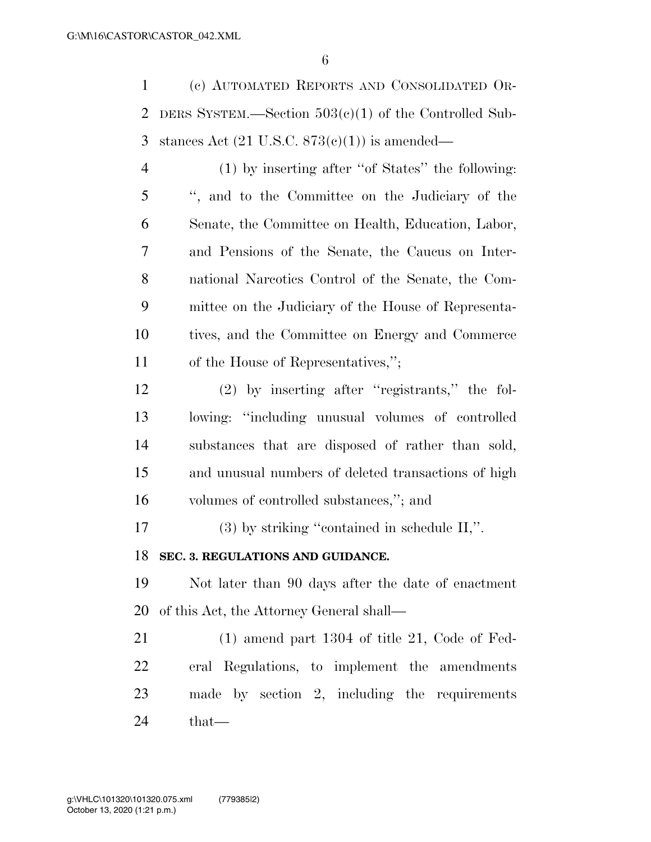(c) AUTOMATED REPORTS AND CONSOLIDATED OR- DERS SYSTEM.—Section 503(c)(1) of the Controlled Sub-3 stances Act  $(21 \text{ U.S.C. } 873(c)(1))$  is amended—

 (1) by inserting after ''of States'' the following: '', and to the Committee on the Judiciary of the Senate, the Committee on Health, Education, Labor, and Pensions of the Senate, the Caucus on Inter- national Narcotics Control of the Senate, the Com- mittee on the Judiciary of the House of Representa- tives, and the Committee on Energy and Commerce of the House of Representatives,'';

 (2) by inserting after ''registrants,'' the fol- lowing: ''including unusual volumes of controlled substances that are disposed of rather than sold, and unusual numbers of deleted transactions of high volumes of controlled substances,''; and

(3) by striking ''contained in schedule II,''.

#### **SEC. 3. REGULATIONS AND GUIDANCE.**

 Not later than 90 days after the date of enactment of this Act, the Attorney General shall—

 (1) amend part 1304 of title 21, Code of Fed- eral Regulations, to implement the amendments made by section 2, including the requirements that—